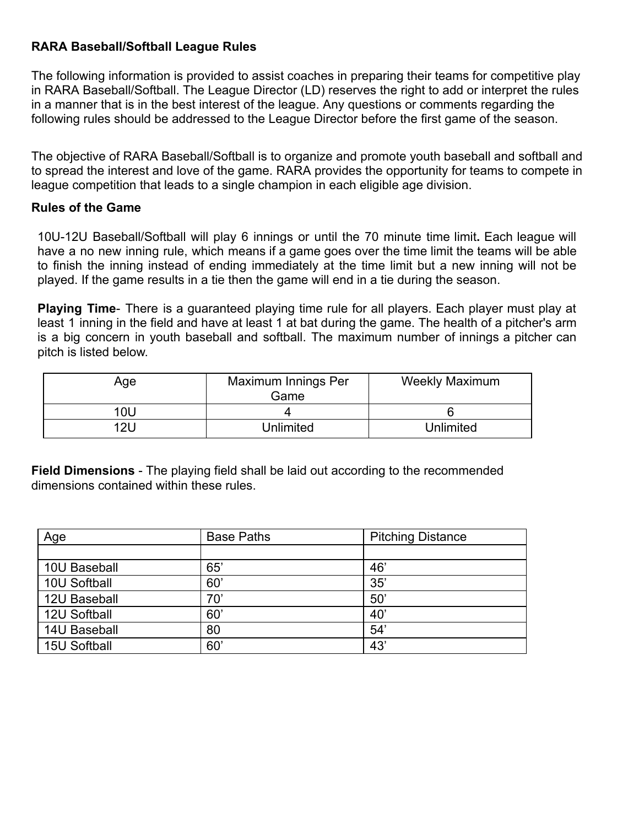# **RARA Baseball/Softball League Rules**

The following information is provided to assist coaches in preparing their teams for competitive play in RARA Baseball/Softball. The League Director (LD) reserves the right to add or interpret the rules in a manner that is in the best interest of the league. Any questions or comments regarding the following rules should be addressed to the League Director before the first game of the season.

The objective of RARA Baseball/Softball is to organize and promote youth baseball and softball and to spread the interest and love of the game. RARA provides the opportunity for teams to compete in league competition that leads to a single champion in each eligible age division.

#### **Rules of the Game**

10U-12U Baseball/Softball will play 6 innings or until the 70 minute time limit**.** Each league will have a no new inning rule, which means if a game goes over the time limit the teams will be able to finish the inning instead of ending immediately at the time limit but a new inning will not be played. If the game results in a tie then the game will end in a tie during the season.

**Playing Time**- There is a guaranteed playing time rule for all players. Each player must play at least 1 inning in the field and have at least 1 at bat during the game. The health of a pitcher's arm is a big concern in youth baseball and softball. The maximum number of innings a pitcher can pitch is listed below.

| Age | Maximum Innings Per<br>Game | <b>Weekly Maximum</b> |
|-----|-----------------------------|-----------------------|
| 10U |                             |                       |
| 12L | <b>Unlimited</b>            | Unlimited             |

**Field Dimensions** - The playing field shall be laid out according to the recommended dimensions contained within these rules.

| Age                 | <b>Base Paths</b> | <b>Pitching Distance</b> |
|---------------------|-------------------|--------------------------|
|                     |                   |                          |
| 10U Baseball        | 65'               | 46'                      |
| 10U Softball        | 60                | 35'                      |
| 12U Baseball        | 70'               | $50^{\circ}$             |
| 12U Softball        | 60                | 40'                      |
| <b>14U Baseball</b> | 80                | 54'                      |
| 15U Softball        | 60                | 43                       |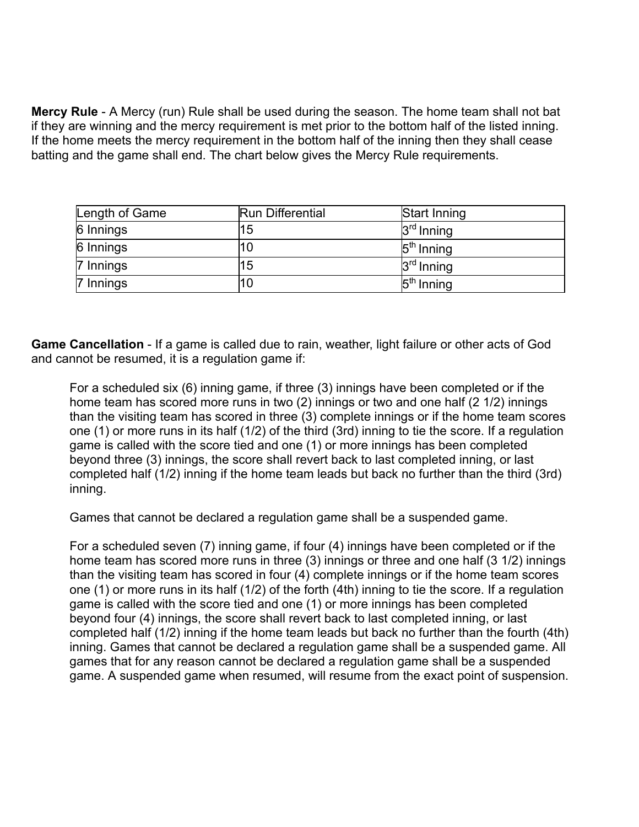**Mercy Rule** - A Mercy (run) Rule shall be used during the season. The home team shall not bat if they are winning and the mercy requirement is met prior to the bottom half of the listed inning. If the home meets the mercy requirement in the bottom half of the inning then they shall cease batting and the game shall end. The chart below gives the Mercy Rule requirements.

| Length of Game | <b>Run Differential</b> | Start Inning |
|----------------|-------------------------|--------------|
| 6 Innings      | 15                      | $3rd$ Inning |
| 6 Innings      |                         | $5th$ Inning |
| 7 Innings      | 15                      | $3rd$ Inning |
| 7 Innings      | 10                      | $5th$ Inning |

**Game Cancellation** - If a game is called due to rain, weather, light failure or other acts of God and cannot be resumed, it is a regulation game if:

For a scheduled six (6) inning game, if three (3) innings have been completed or if the home team has scored more runs in two (2) innings or two and one half (2 1/2) innings than the visiting team has scored in three  $(3)$  complete innings or if the home team scores one (1) or more runs in its half (1/2) of the third (3rd) inning to tie the score. If a regulation game is called with the score tied and one (1) or more innings has been completed beyond three (3) innings, the score shall revert back to last completed inning, or last completed half (1/2) inning if the home team leads but back no further than the third (3rd) inning.

Games that cannot be declared a regulation game shall be a suspended game.

For a scheduled seven (7) inning game, if four (4) innings have been completed or if the home team has scored more runs in three (3) innings or three and one half (3 1/2) innings than the visiting team has scored in four (4) complete innings or if the home team scores one (1) or more runs in its half (1/2) of the forth (4th) inning to tie the score. If a regulation game is called with the score tied and one (1) or more innings has been completed beyond four (4) innings, the score shall revert back to last completed inning, or last completed half (1/2) inning if the home team leads but back no further than the fourth (4th) inning. Games that cannot be declared a regulation game shall be a suspended game. All games that for any reason cannot be declared a regulation game shall be a suspended game. A suspended game when resumed, will resume from the exact point of suspension.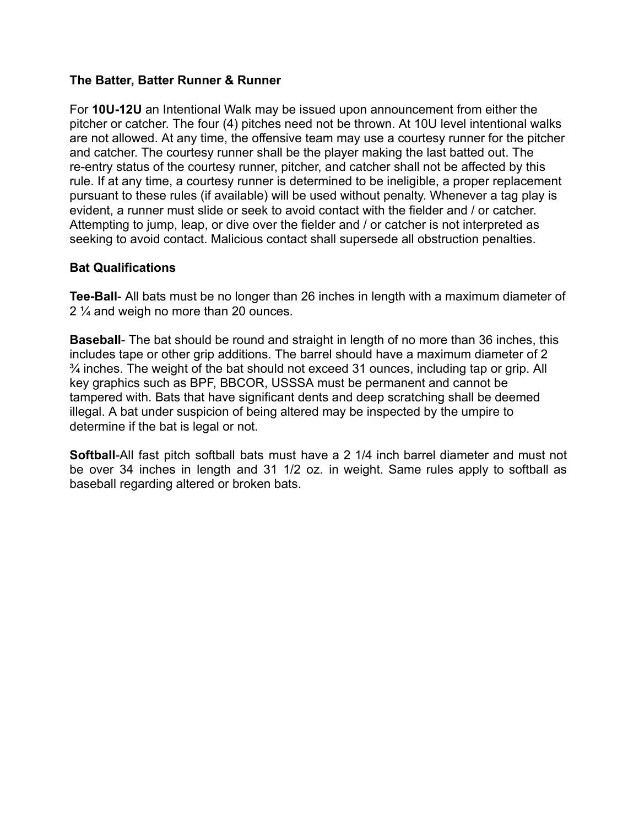## **The Batter, Batter Runner & Runner**

For **10U-12U** an Intentional Walk may be issued upon announcement from either the pitcher or catcher. The four (4) pitches need not be thrown. At 10U level intentional walks are not allowed. At any time, the offensive team may use a courtesy runner for the pitcher and catcher. The courtesy runner shall be the player making the last batted out. The re-entry status of the courtesy runner, pitcher, and catcher shall not be affected by this rule. If at any time, a courtesy runner is determined to be ineligible, a proper replacement pursuant to these rules (if available) will be used without penalty. Whenever a tag play is evident, a runner must slide or seek to avoid contact with the fielder and / or catcher. Attempting to jump, leap, or dive over the fielder and / or catcher is not interpreted as seeking to avoid contact. Malicious contact shall supersede all obstruction penalties.

#### **Bat Qualifications**

**Tee-Ball**- All bats must be no longer than 26 inches in length with a maximum diameter of 2 ¼ and weigh no more than 20 ounces.

**Baseball**- The bat should be round and straight in length of no more than 36 inches, this includes tape or other grip additions. The barrel should have a maximum diameter of 2  $\frac{3}{4}$  inches. The weight of the bat should not exceed 31 ounces, including tap or grip. All key graphics such as BPF, BBCOR, USSSA must be permanent and cannot be tampered with. Bats that have significant dents and deep scratching shall be deemed illegal. A bat under suspicion of being altered may be inspected by the umpire to determine if the bat is legal or not.

**Softball**-All fast pitch softball bats must have a 2 1/4 inch barrel diameter and must not be over 34 inches in length and 31 1/2 oz. in weight. Same rules apply to softball as baseball regarding altered or broken bats.